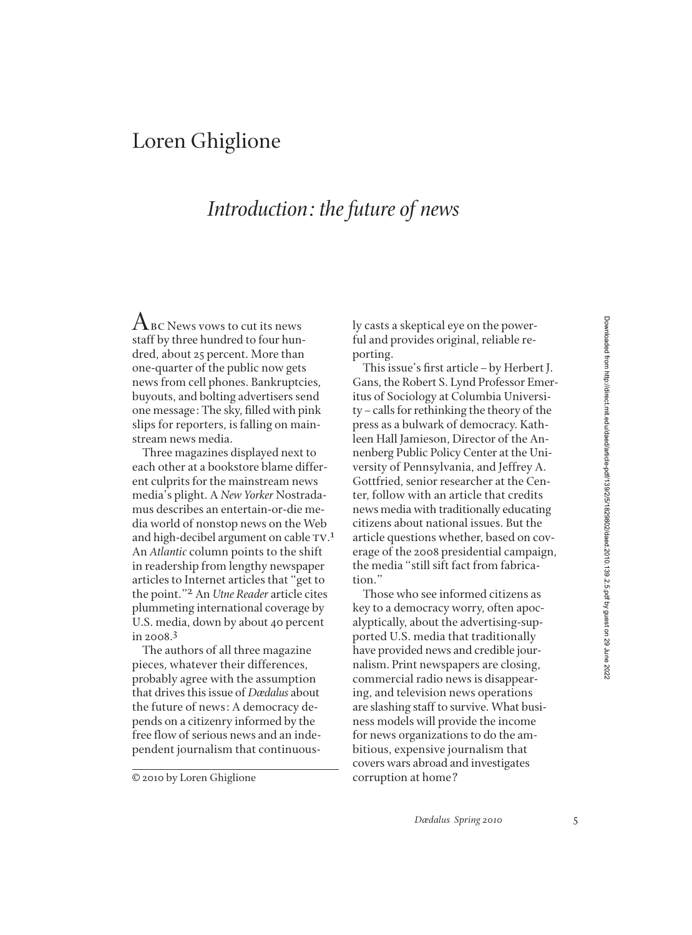## Loren Ghiglione

## *Introduction: the future of news*

 $A_{BC}$  News vows to cut its news staff by three hundred to four hundred, about 25 percent. More than one-quarter of the public now gets news from cell phones. Bankruptcies, buyouts, and bolting advertisers send one message: The sky, filled with pink slips for reporters, is falling on mainstream news media.

Three magazines displayed next to each other at a bookstore blame different culprits for the mainstream news media's plight. A *New Yorker* Nostradamus describes an entertain-or-die media world of nonstop news on the Web and high-decibel argument on cable  $TV.<sup>1</sup>$ An *Atlantic* column points to the shift in readership from lengthy newspaper articles to Internet articles that "get to the point."2 An *Utne Reader* article cites plummeting international coverage by U.S. media, down by about 40 percent in 2008.3

The authors of all three magazine pieces, whatever their differences, probably agree with the assumption that drives this issue of *Dædalus* about the future of news: A democracy depends on a citizenry informed by the free flow of serious news and an independent journalism that continuous-

© 2010 by Loren Ghiglione

ly casts a skeptical eye on the powerful and provides original, reliable reporting.

This issue's first article-by Herbert J. Gans, the Robert S. Lynd Professor Emeritus of Sociology at Columbia University–calls for rethinking the theory of the press as a bulwark of democracy. Kathleen Hall Jamieson, Director of the Annenberg Public Policy Center at the University of Pennsylvania, and Jeffrey A. Gottfried, senior researcher at the Center, follow with an article that credits news media with traditionally educating citizens about national issues. But the article questions whether, based on coverage of the 2008 presidential campaign, the media "still sift fact from fabrication."

Those who see informed citizens as key to a democracy worry, often apocalyptically, about the advertising-supported U.S. media that traditionally have provided news and credible journalism. Print newspapers are closing, commercial radio news is disappearing, and television news operations are slashing staff to survive. What business models will provide the income for news organizations to do the ambitious, expensive journalism that covers wars abroad and investigates corruption at home?

*Dædalus Spring 2010* 5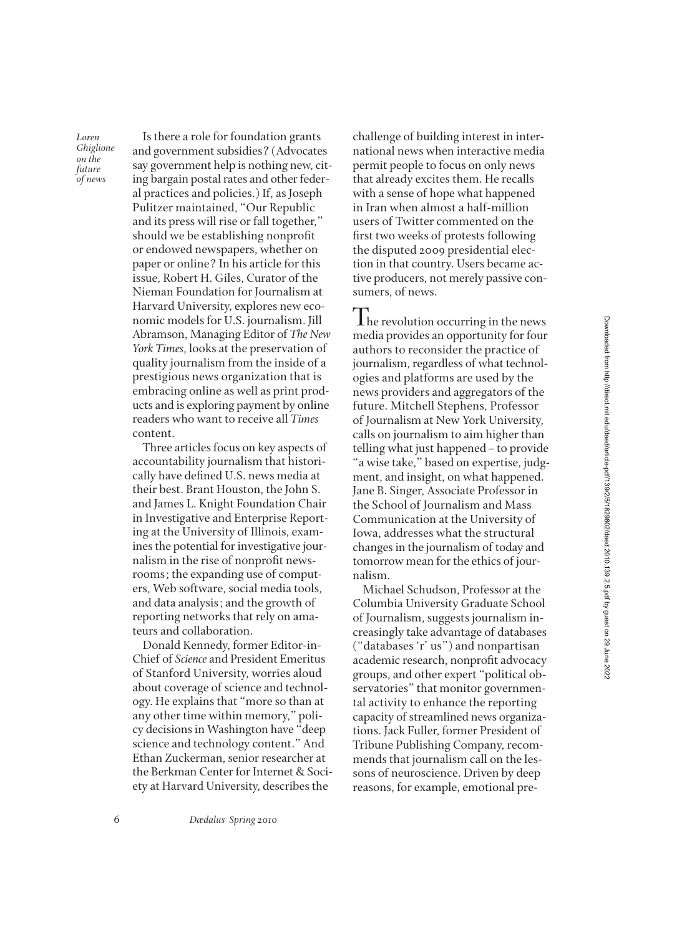*Loren Ghiglione on the future of news*

Is there a role for foundation grants and government subsidies? (Advocates say government help is nothing new, citing bargain postal rates and other federal practices and policies.) If, as Joseph Pulitzer maintained, "Our Republic and its press will rise or fall together," should we be establishing nonprofit or endowed newspapers, whether on paper or online? In his article for this issue, Robert H. Giles, Curator of the Nieman Foundation for Journalism at Harvard University, explores new economic models for U.S. journalism. Jill Abramson, Managing Editor of *The New York Times*, looks at the preservation of quality journalism from the inside of a prestigious news organization that is embracing online as well as print products and is exploring payment by online readers who want to receive all *Times* content.

Three articles focus on key aspects of accountability journalism that historically have defined U.S. news media at their best. Brant Houston, the John S. and James L. Knight Foundation Chair in Investigative and Enterprise Reporting at the University of Illinois, examines the potential for investigative journalism in the rise of nonprofit newsrooms; the expanding use of computers, Web software, social media tools, and data analysis; and the growth of reporting networks that rely on amateurs and collaboration.

Donald Kennedy, former Editor-in-Chief of *Science* and President Emeritus of Stanford University, worries aloud about coverage of science and technology. He explains that "more so than at any other time within memory," policy decisions in Washington have "deep science and technology content." And Ethan Zuckerman, senior researcher at the Berkman Center for Internet & Society at Harvard University, describes the

challenge of building interest in international news when interactive media permit people to focus on only news that already excites them. He recalls with a sense of hope what happened in Iran when almost a half-million users of Twitter commented on the first two weeks of protests following the disputed 2009 presidential election in that country. Users became active producers, not merely passive consumers, of news.

 $\mathbf 1$  he revolution occurring in the news media provides an opportunity for four authors to reconsider the practice of journalism, regardless of what technologies and platforms are used by the news providers and aggregators of the future. Mitchell Stephens, Professor of Journalism at New York University, calls on journalism to aim higher than telling what just happened–to provide "a wise take," based on expertise, judgment, and insight, on what happened. Jane B. Singer, Associate Professor in the School of Journalism and Mass Communication at the University of Iowa, addresses what the structural changes in the journalism of today and tomorrow mean for the ethics of journalism.

Michael Schudson, Professor at the Columbia University Graduate School of Journalism, suggests journalism increasingly take advantage of databases ("databases 'r' us") and nonpartisan academic research, nonprofit advocacy groups, and other expert "political observatories" that monitor governmental activity to enhance the reporting capacity of streamlined news organizations. Jack Fuller, former President of Tribune Publishing Company, recommends that journalism call on the lessons of neuroscience. Driven by deep reasons, for example, emotional pre